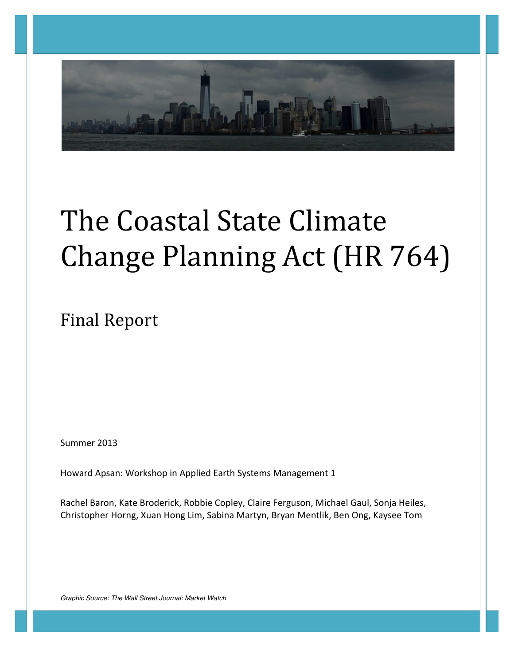

# The Coastal State Climate Change Planning Act (HR 764)

Final Report 

Summer 2013

Howard Apsan: Workshop in Applied Earth Systems Management 1

Rachel Baron, Kate Broderick, Robbie Copley, Claire Ferguson, Michael Gaul, Sonja Heiles, Christopher Horng, Xuan Hong Lim, Sabina Martyn, Bryan Mentlik, Ben Ong, Kaysee Tom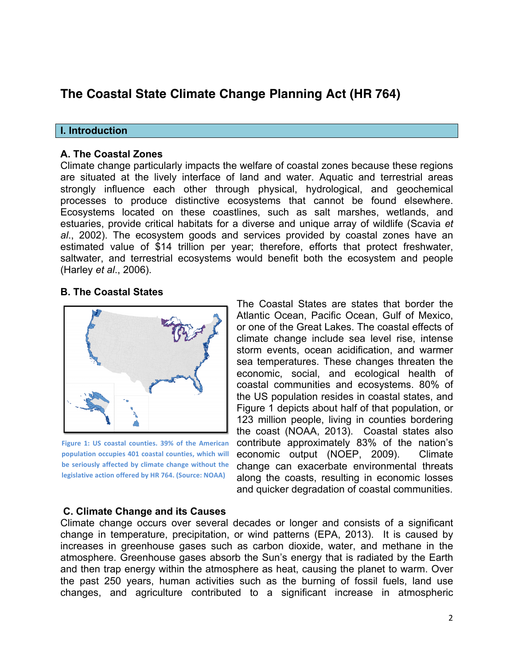## **The Coastal State Climate Change Planning Act (HR 764)**

#### **I. Introduction**

#### **A. The Coastal Zones**

Climate change particularly impacts the welfare of coastal zones because these regions are situated at the lively interface of land and water. Aquatic and terrestrial areas strongly influence each other through physical, hydrological, and geochemical processes to produce distinctive ecosystems that cannot be found elsewhere. Ecosystems located on these coastlines, such as salt marshes, wetlands, and estuaries, provide critical habitats for a diverse and unique array of wildlife (Scavia *et al*., 2002). The ecosystem goods and services provided by coastal zones have an estimated value of \$14 trillion per year; therefore, efforts that protect freshwater, saltwater, and terrestrial ecosystems would benefit both the ecosystem and people (Harley *et al*., 2006).

#### **B. The Coastal States**



**Figure 1: US coastal counties. 39% of the American** population occupies 401 coastal counties, which will be seriously affected by climate change without the **legislative action offered by HR 764. (Source: NOAA)** 

The Coastal States are states that border the Atlantic Ocean, Pacific Ocean, Gulf of Mexico, or one of the Great Lakes. The coastal effects of climate change include sea level rise, intense storm events, ocean acidification, and warmer sea temperatures. These changes threaten the economic, social, and ecological health of coastal communities and ecosystems. 80% of the US population resides in coastal states, and Figure 1 depicts about half of that population, or 123 million people, living in counties bordering the coast (NOAA, 2013). Coastal states also contribute approximately 83% of the nation's economic output (NOEP, 2009). Climate change can exacerbate environmental threats along the coasts, resulting in economic losses and quicker degradation of coastal communities.

#### **C. Climate Change and its Causes**

Climate change occurs over several decades or longer and consists of a significant change in temperature, precipitation, or wind patterns (EPA, 2013). It is caused by increases in greenhouse gases such as carbon dioxide, water, and methane in the atmosphere. Greenhouse gases absorb the Sun's energy that is radiated by the Earth and then trap energy within the atmosphere as heat, causing the planet to warm. Over the past 250 years, human activities such as the burning of fossil fuels, land use changes, and agriculture contributed to a significant increase in atmospheric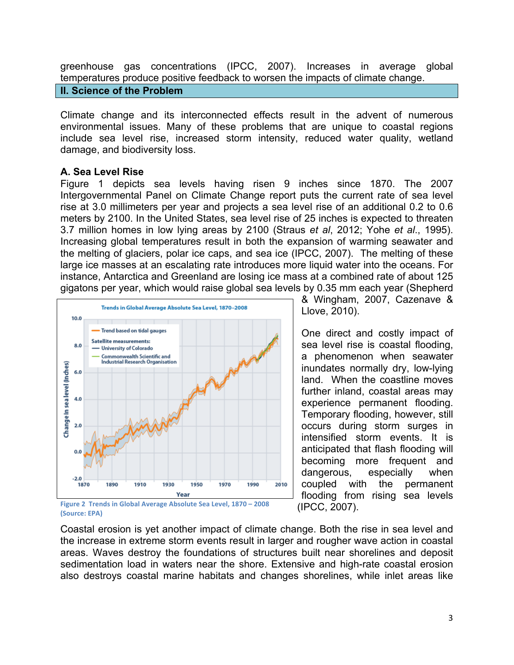greenhouse gas concentrations (IPCC, 2007). Increases in average global temperatures produce positive feedback to worsen the impacts of climate change.

## **II. Science of the Problem**

Climate change and its interconnected effects result in the advent of numerous environmental issues. Many of these problems that are unique to coastal regions include sea level rise, increased storm intensity, reduced water quality, wetland damage, and biodiversity loss.

## **A. Sea Level Rise**

Figure 1 depicts sea levels having risen 9 inches since 1870. The 2007 Intergovernmental Panel on Climate Change report puts the current rate of sea level rise at 3.0 millimeters per year and projects a sea level rise of an additional 0.2 to 0.6 meters by 2100. In the United States, sea level rise of 25 inches is expected to threaten 3.7 million homes in low lying areas by 2100 (Straus *et al*, 2012; Yohe *et al*., 1995). Increasing global temperatures result in both the expansion of warming seawater and the melting of glaciers, polar ice caps, and sea ice (IPCC, 2007). The melting of these large ice masses at an escalating rate introduces more liquid water into the oceans. For instance, Antarctica and Greenland are losing ice mass at a combined rate of about 125 gigatons per year, which would raise global sea levels by 0.35 mm each year (Shepherd



**(Source: EPA)**

& Wingham, 2007, Cazenave & Llove, 2010).

One direct and costly impact of sea level rise is coastal flooding, a phenomenon when seawater inundates normally dry, low-lying land. When the coastline moves further inland, coastal areas may experience permanent flooding. Temporary flooding, however, still occurs during storm surges in intensified storm events. It is anticipated that flash flooding will becoming more frequent and dangerous, especially when coupled with the permanent flooding from rising sea levels (IPCC, 2007).

Coastal erosion is yet another impact of climate change. Both the rise in sea level and the increase in extreme storm events result in larger and rougher wave action in coastal areas. Waves destroy the foundations of structures built near shorelines and deposit sedimentation load in waters near the shore. Extensive and high-rate coastal erosion also destroys coastal marine habitats and changes shorelines, while inlet areas like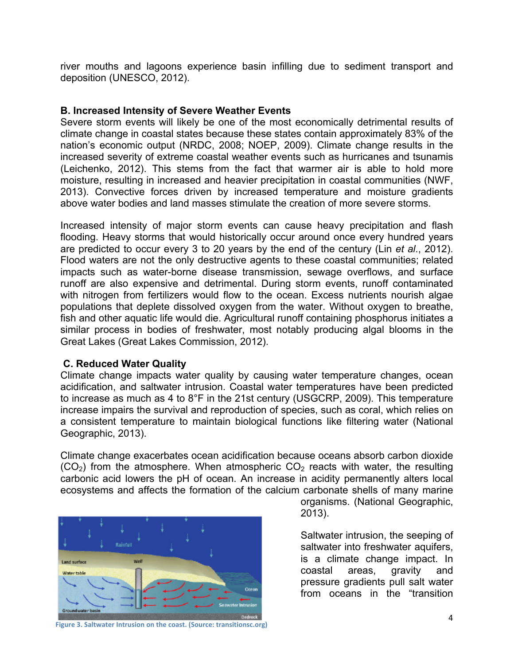river mouths and lagoons experience basin infilling due to sediment transport and deposition (UNESCO, 2012).

#### **B. Increased Intensity of Severe Weather Events**

Severe storm events will likely be one of the most economically detrimental results of climate change in coastal states because these states contain approximately 83% of the nation's economic output (NRDC, 2008; NOEP, 2009). Climate change results in the increased severity of extreme coastal weather events such as hurricanes and tsunamis (Leichenko, 2012). This stems from the fact that warmer air is able to hold more moisture, resulting in increased and heavier precipitation in coastal communities (NWF, 2013). Convective forces driven by increased temperature and moisture gradients above water bodies and land masses stimulate the creation of more severe storms.

Increased intensity of major storm events can cause heavy precipitation and flash flooding. Heavy storms that would historically occur around once every hundred years are predicted to occur every 3 to 20 years by the end of the century (Lin *et al*., 2012). Flood waters are not the only destructive agents to these coastal communities; related impacts such as water-borne disease transmission, sewage overflows, and surface runoff are also expensive and detrimental. During storm events, runoff contaminated with nitrogen from fertilizers would flow to the ocean. Excess nutrients nourish algae populations that deplete dissolved oxygen from the water. Without oxygen to breathe, fish and other aquatic life would die. Agricultural runoff containing phosphorus initiates a similar process in bodies of freshwater, most notably producing algal blooms in the Great Lakes (Great Lakes Commission, 2012).

## **C. Reduced Water Quality**

Climate change impacts water quality by causing water temperature changes, ocean acidification, and saltwater intrusion. Coastal water temperatures have been predicted to increase as much as 4 to 8°F in the 21st century (USGCRP, 2009). This temperature increase impairs the survival and reproduction of species, such as coral, which relies on a consistent temperature to maintain biological functions like filtering water (National Geographic, 2013).

Climate change exacerbates ocean acidification because oceans absorb carbon dioxide  $(CO<sub>2</sub>)$  from the atmosphere. When atmospheric  $CO<sub>2</sub>$  reacts with water, the resulting carbonic acid lowers the pH of ocean. An increase in acidity permanently alters local ecosystems and affects the formation of the calcium carbonate shells of many marine



organisms. (National Geographic, 2013).

Saltwater intrusion, the seeping of saltwater into freshwater aquifers, is a climate change impact. In coastal areas, gravity and pressure gradients pull salt water from oceans in the "transition

**Figure 3. Saltwater Intrusion on the coast. (Source: transitionsc.org)**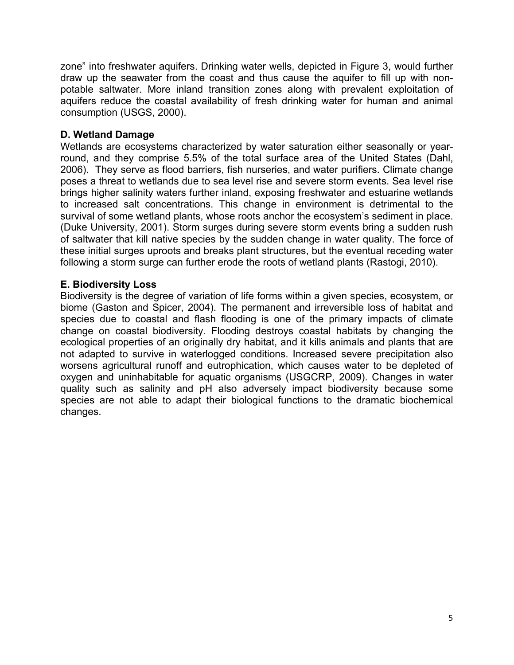zone" into freshwater aquifers. Drinking water wells, depicted in Figure 3, would further draw up the seawater from the coast and thus cause the aquifer to fill up with nonpotable saltwater. More inland transition zones along with prevalent exploitation of aquifers reduce the coastal availability of fresh drinking water for human and animal consumption (USGS, 2000).

## **D. Wetland Damage**

Wetlands are ecosystems characterized by water saturation either seasonally or yearround, and they comprise 5.5% of the total surface area of the United States (Dahl, 2006). They serve as flood barriers, fish nurseries, and water purifiers. Climate change poses a threat to wetlands due to sea level rise and severe storm events. Sea level rise brings higher salinity waters further inland, exposing freshwater and estuarine wetlands to increased salt concentrations. This change in environment is detrimental to the survival of some wetland plants, whose roots anchor the ecosystem's sediment in place. (Duke University, 2001). Storm surges during severe storm events bring a sudden rush of saltwater that kill native species by the sudden change in water quality. The force of these initial surges uproots and breaks plant structures, but the eventual receding water following a storm surge can further erode the roots of wetland plants (Rastogi, 2010).

## **E. Biodiversity Loss**

Biodiversity is the degree of variation of life forms within a given species, ecosystem, or biome (Gaston and Spicer, 2004). The permanent and irreversible loss of habitat and species due to coastal and flash flooding is one of the primary impacts of climate change on coastal biodiversity. Flooding destroys coastal habitats by changing the ecological properties of an originally dry habitat, and it kills animals and plants that are not adapted to survive in waterlogged conditions. Increased severe precipitation also worsens agricultural runoff and eutrophication, which causes water to be depleted of oxygen and uninhabitable for aquatic organisms (USGCRP, 2009). Changes in water quality such as salinity and pH also adversely impact biodiversity because some species are not able to adapt their biological functions to the dramatic biochemical changes.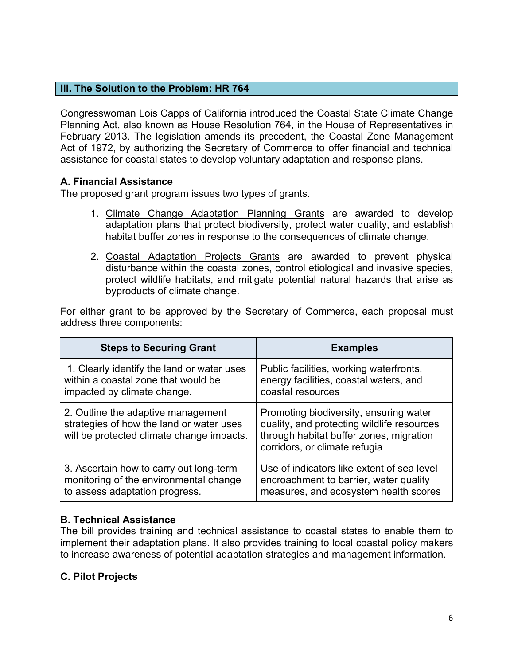## **III. The Solution to the Problem: HR 764**

Congresswoman Lois Capps of California introduced the Coastal State Climate Change Planning Act, also known as House Resolution 764, in the House of Representatives in February 2013. The legislation amends its precedent, the Coastal Zone Management Act of 1972, by authorizing the Secretary of Commerce to offer financial and technical assistance for coastal states to develop voluntary adaptation and response plans.

## **A. Financial Assistance**

The proposed grant program issues two types of grants.

- 1. Climate Change Adaptation Planning Grants are awarded to develop adaptation plans that protect biodiversity, protect water quality, and establish habitat buffer zones in response to the consequences of climate change.
- 2. Coastal Adaptation Projects Grants are awarded to prevent physical disturbance within the coastal zones, control etiological and invasive species, protect wildlife habitats, and mitigate potential natural hazards that arise as byproducts of climate change.

For either grant to be approved by the Secretary of Commerce, each proposal must address three components:

| <b>Steps to Securing Grant</b>                                                                                              | <b>Examples</b>                                                                                                                                                  |
|-----------------------------------------------------------------------------------------------------------------------------|------------------------------------------------------------------------------------------------------------------------------------------------------------------|
| 1. Clearly identify the land or water uses                                                                                  | Public facilities, working waterfronts,                                                                                                                          |
| within a coastal zone that would be                                                                                         | energy facilities, coastal waters, and                                                                                                                           |
| impacted by climate change.                                                                                                 | coastal resources                                                                                                                                                |
| 2. Outline the adaptive management<br>strategies of how the land or water uses<br>will be protected climate change impacts. | Promoting biodiversity, ensuring water<br>quality, and protecting wildlife resources<br>through habitat buffer zones, migration<br>corridors, or climate refugia |
| 3. Ascertain how to carry out long-term                                                                                     | Use of indicators like extent of sea level                                                                                                                       |
| monitoring of the environmental change                                                                                      | encroachment to barrier, water quality                                                                                                                           |
| to assess adaptation progress.                                                                                              | measures, and ecosystem health scores                                                                                                                            |

## **B. Technical Assistance**

The bill provides training and technical assistance to coastal states to enable them to implement their adaptation plans. It also provides training to local coastal policy makers to increase awareness of potential adaptation strategies and management information.

## **C. Pilot Projects**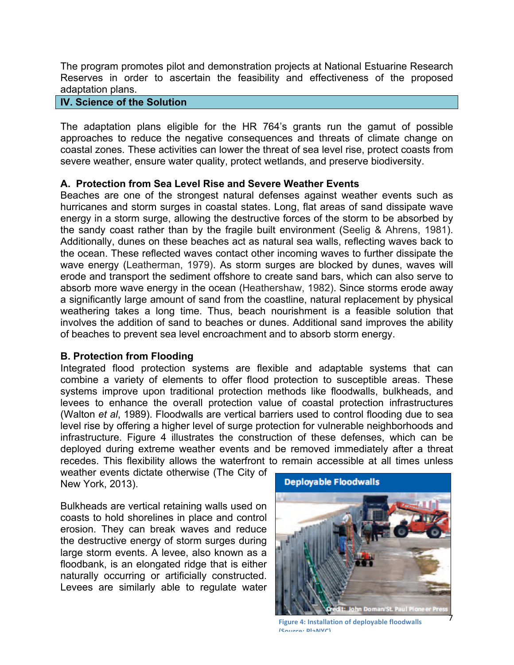The program promotes pilot and demonstration projects at National Estuarine Research Reserves in order to ascertain the feasibility and effectiveness of the proposed adaptation plans.

## **IV. Science of the Solution**

The adaptation plans eligible for the HR 764's grants run the gamut of possible approaches to reduce the negative consequences and threats of climate change on coastal zones. These activities can lower the threat of sea level rise, protect coasts from severe weather, ensure water quality, protect wetlands, and preserve biodiversity.

## **A. Protection from Sea Level Rise and Severe Weather Events**

Beaches are one of the strongest natural defenses against weather events such as hurricanes and storm surges in coastal states. Long, flat areas of sand dissipate wave energy in a storm surge, allowing the destructive forces of the storm to be absorbed by the sandy coast rather than by the fragile built environment (Seelig & Ahrens, 1981). Additionally, dunes on these beaches act as natural sea walls, reflecting waves back to the ocean. These reflected waves contact other incoming waves to further dissipate the wave energy (Leatherman, 1979). As storm surges are blocked by dunes, waves will erode and transport the sediment offshore to create sand bars, which can also serve to absorb more wave energy in the ocean (Heathershaw, 1982). Since storms erode away a significantly large amount of sand from the coastline, natural replacement by physical weathering takes a long time. Thus, beach nourishment is a feasible solution that involves the addition of sand to beaches or dunes. Additional sand improves the ability of beaches to prevent sea level encroachment and to absorb storm energy.

## **B. Protection from Flooding**

Integrated flood protection systems are flexible and adaptable systems that can combine a variety of elements to offer flood protection to susceptible areas. These systems improve upon traditional protection methods like floodwalls, bulkheads, and levees to enhance the overall protection value of coastal protection infrastructures (Walton *et al*, 1989). Floodwalls are vertical barriers used to control flooding due to sea level rise by offering a higher level of surge protection for vulnerable neighborhoods and infrastructure. Figure 4 illustrates the construction of these defenses, which can be deployed during extreme weather events and be removed immediately after a threat recedes. This flexibility allows the waterfront to remain accessible at all times unless

weather events dictate otherwise (The City of New York, 2013).

Bulkheads are vertical retaining walls used on coasts to hold shorelines in place and control erosion. They can break waves and reduce the destructive energy of storm surges during large storm events. A levee, also known as a floodbank, is an elongated ridge that is either naturally occurring or artificially constructed. Levees are similarly able to regulate water



**Figure 4: Installation of deployable floodwalls (Source: PlaNYC)**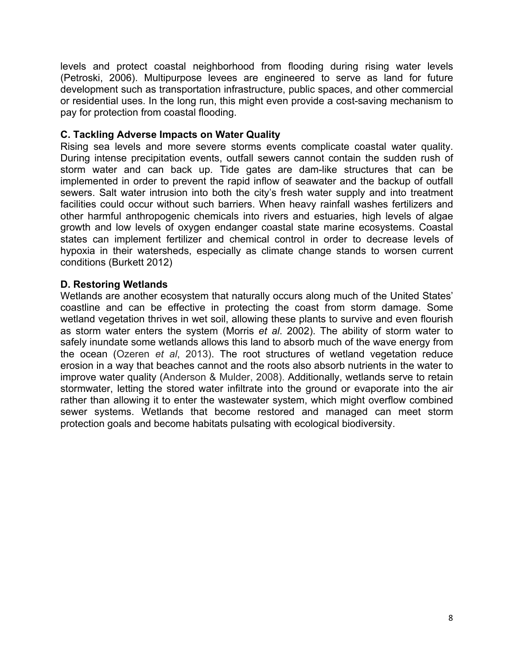levels and protect coastal neighborhood from flooding during rising water levels (Petroski, 2006). Multipurpose levees are engineered to serve as land for future development such as transportation infrastructure, public spaces, and other commercial or residential uses. In the long run, this might even provide a cost-saving mechanism to pay for protection from coastal flooding.

## **C. Tackling Adverse Impacts on Water Quality**

Rising sea levels and more severe storms events complicate coastal water quality. During intense precipitation events, outfall sewers cannot contain the sudden rush of storm water and can back up. Tide gates are dam-like structures that can be implemented in order to prevent the rapid inflow of seawater and the backup of outfall sewers. Salt water intrusion into both the city's fresh water supply and into treatment facilities could occur without such barriers. When heavy rainfall washes fertilizers and other harmful anthropogenic chemicals into rivers and estuaries, high levels of algae growth and low levels of oxygen endanger coastal state marine ecosystems. Coastal states can implement fertilizer and chemical control in order to decrease levels of hypoxia in their watersheds, especially as climate change stands to worsen current conditions (Burkett 2012)

## **D. Restoring Wetlands**

Wetlands are another ecosystem that naturally occurs along much of the United States' coastline and can be effective in protecting the coast from storm damage. Some wetland vegetation thrives in wet soil, allowing these plants to survive and even flourish as storm water enters the system (Morris *et al*. 2002). The ability of storm water to safely inundate some wetlands allows this land to absorb much of the wave energy from the ocean (Ozeren *et al*, 2013). The root structures of wetland vegetation reduce erosion in a way that beaches cannot and the roots also absorb nutrients in the water to improve water quality (Anderson & Mulder, 2008). Additionally, wetlands serve to retain stormwater, letting the stored water infiltrate into the ground or evaporate into the air rather than allowing it to enter the wastewater system, which might overflow combined sewer systems. Wetlands that become restored and managed can meet storm protection goals and become habitats pulsating with ecological biodiversity.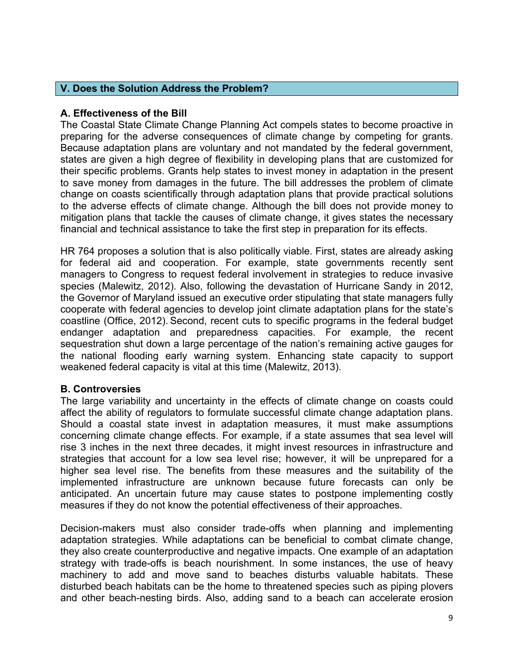## **V. Does the Solution Address the Problem?**

## **A. Effectiveness of the Bill**

The Coastal State Climate Change Planning Act compels states to become proactive in preparing for the adverse consequences of climate change by competing for grants. Because adaptation plans are voluntary and not mandated by the federal government, states are given a high degree of flexibility in developing plans that are customized for their specific problems. Grants help states to invest money in adaptation in the present to save money from damages in the future. The bill addresses the problem of climate change on coasts scientifically through adaptation plans that provide practical solutions to the adverse effects of climate change. Although the bill does not provide money to mitigation plans that tackle the causes of climate change, it gives states the necessary financial and technical assistance to take the first step in preparation for its effects.

HR 764 proposes a solution that is also politically viable. First, states are already asking for federal aid and cooperation. For example, state governments recently sent managers to Congress to request federal involvement in strategies to reduce invasive species (Malewitz, 2012). Also, following the devastation of Hurricane Sandy in 2012, the Governor of Maryland issued an executive order stipulating that state managers fully cooperate with federal agencies to develop joint climate adaptation plans for the state's coastline (Office, 2012). Second, recent cuts to specific programs in the federal budget endanger adaptation and preparedness capacities. For example, the recent sequestration shut down a large percentage of the nation's remaining active gauges for the national flooding early warning system. Enhancing state capacity to support weakened federal capacity is vital at this time (Malewitz, 2013).

## **B. Controversies**

The large variability and uncertainty in the effects of climate change on coasts could affect the ability of regulators to formulate successful climate change adaptation plans. Should a coastal state invest in adaptation measures, it must make assumptions concerning climate change effects. For example, if a state assumes that sea level will rise 3 inches in the next three decades, it might invest resources in infrastructure and strategies that account for a low sea level rise; however, it will be unprepared for a higher sea level rise. The benefits from these measures and the suitability of the implemented infrastructure are unknown because future forecasts can only be anticipated. An uncertain future may cause states to postpone implementing costly measures if they do not know the potential effectiveness of their approaches.

Decision-makers must also consider trade-offs when planning and implementing adaptation strategies. While adaptations can be beneficial to combat climate change, they also create counterproductive and negative impacts. One example of an adaptation strategy with trade-offs is beach nourishment. In some instances, the use of heavy machinery to add and move sand to beaches disturbs valuable habitats. These disturbed beach habitats can be the home to threatened species such as piping plovers and other beach-nesting birds. Also, adding sand to a beach can accelerate erosion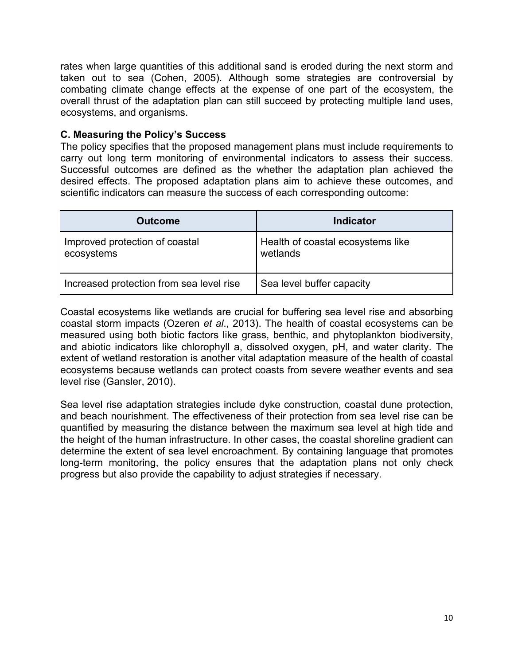rates when large quantities of this additional sand is eroded during the next storm and taken out to sea (Cohen, 2005). Although some strategies are controversial by combating climate change effects at the expense of one part of the ecosystem, the overall thrust of the adaptation plan can still succeed by protecting multiple land uses, ecosystems, and organisms.

## **C. Measuring the Policy's Success**

The policy specifies that the proposed management plans must include requirements to carry out long term monitoring of environmental indicators to assess their success. Successful outcomes are defined as the whether the adaptation plan achieved the desired effects. The proposed adaptation plans aim to achieve these outcomes, and scientific indicators can measure the success of each corresponding outcome:

| <b>Outcome</b>                               | <b>Indicator</b>                              |
|----------------------------------------------|-----------------------------------------------|
| Improved protection of coastal<br>ecosystems | Health of coastal ecosystems like<br>wetlands |
| Increased protection from sea level rise     | Sea level buffer capacity                     |

Coastal ecosystems like wetlands are crucial for buffering sea level rise and absorbing coastal storm impacts (Ozeren *et al*., 2013). The health of coastal ecosystems can be measured using both biotic factors like grass, benthic, and phytoplankton biodiversity, and abiotic indicators like chlorophyll a, dissolved oxygen, pH, and water clarity. The extent of wetland restoration is another vital adaptation measure of the health of coastal ecosystems because wetlands can protect coasts from severe weather events and sea level rise (Gansler, 2010).

Sea level rise adaptation strategies include dyke construction, coastal dune protection, and beach nourishment. The effectiveness of their protection from sea level rise can be quantified by measuring the distance between the maximum sea level at high tide and the height of the human infrastructure. In other cases, the coastal shoreline gradient can determine the extent of sea level encroachment. By containing language that promotes long-term monitoring, the policy ensures that the adaptation plans not only check progress but also provide the capability to adjust strategies if necessary.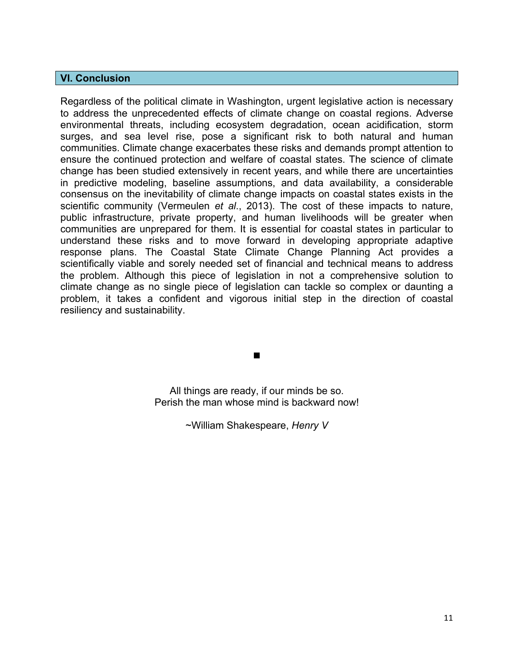### **VI. Conclusion**

Regardless of the political climate in Washington, urgent legislative action is necessary to address the unprecedented effects of climate change on coastal regions. Adverse environmental threats, including ecosystem degradation, ocean acidification, storm surges, and sea level rise, pose a significant risk to both natural and human communities. Climate change exacerbates these risks and demands prompt attention to ensure the continued protection and welfare of coastal states. The science of climate change has been studied extensively in recent years, and while there are uncertainties in predictive modeling, baseline assumptions, and data availability, a considerable consensus on the inevitability of climate change impacts on coastal states exists in the scientific community (Vermeulen *et al*., 2013). The cost of these impacts to nature, public infrastructure, private property, and human livelihoods will be greater when communities are unprepared for them. It is essential for coastal states in particular to understand these risks and to move forward in developing appropriate adaptive response plans. The Coastal State Climate Change Planning Act provides a scientifically viable and sorely needed set of financial and technical means to address the problem. Although this piece of legislation in not a comprehensive solution to climate change as no single piece of legislation can tackle so complex or daunting a problem, it takes a confident and vigorous initial step in the direction of coastal resiliency and sustainability.

> All things are ready, if our minds be so. Perish the man whose mind is backward now!

~William Shakespeare, *Henry V*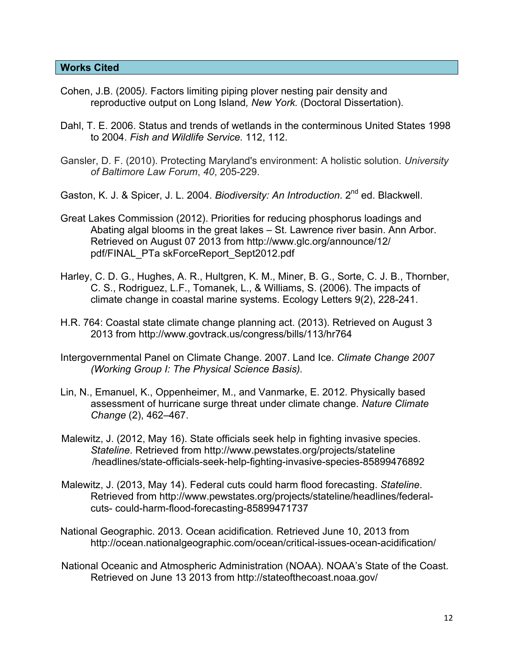- Cohen, J.B. (2005*).* Factors limiting piping plover nesting pair density and reproductive output on Long Island*, New York.* (Doctoral Dissertation).
- Dahl, T. E. 2006. Status and trends of wetlands in the conterminous United States 1998 to 2004. *Fish and Wildlife Service.* 112, 112.
- Gansler, D. F. (2010). Protecting Maryland's environment: A holistic solution. *University of Baltimore Law Forum*, *40*, 205-229.
- Gaston, K. J. & Spicer, J. L. 2004. *Biodiversity: An Introduction*. 2<sup>nd</sup> ed. Blackwell.
- Great Lakes Commission (2012). Priorities for reducing phosphorus loadings and Abating algal blooms in the great lakes – St. Lawrence river basin. Ann Arbor. Retrieved on August 07 2013 from http://www.glc.org/announce/12/ pdf/FINAL\_PTa skForceReport\_Sept2012.pdf
- Harley, C. D. G., Hughes, A. R., Hultgren, K. M., Miner, B. G., Sorte, C. J. B., Thornber, C. S., Rodriguez, L.F., Tomanek, L., & Williams, S. (2006). The impacts of climate change in coastal marine systems. Ecology Letters 9(2), 228-241.
- H.R. 764: Coastal state climate change planning act. (2013). Retrieved on August 3 2013 from http://www.govtrack.us/congress/bills/113/hr764
- Intergovernmental Panel on Climate Change. 2007. Land Ice. *Climate Change 2007 (Working Group I: The Physical Science Basis).*
- Lin, N., Emanuel, K., Oppenheimer, M., and Vanmarke, E. 2012. Physically based assessment of hurricane surge threat under climate change. *Nature Climate Change* (2), 462–467.
- Malewitz, J. (2012, May 16). State officials seek help in fighting invasive species. *Stateline*. Retrieved from http://www.pewstates.org/projects/stateline /headlines/state-officials-seek-help-fighting-invasive-species-85899476892
- Malewitz, J. (2013, May 14). Federal cuts could harm flood forecasting. *Stateline*. Retrieved from http://www.pewstates.org/projects/stateline/headlines/federalcuts- could-harm-flood-forecasting-85899471737
- National Geographic. 2013. Ocean acidification*.* Retrieved June 10, 2013 from http://ocean.nationalgeographic.com/ocean/critical-issues-ocean-acidification/
- National Oceanic and Atmospheric Administration (NOAA). NOAA's State of the Coast. Retrieved on June 13 2013 from http://stateofthecoast.noaa.gov/